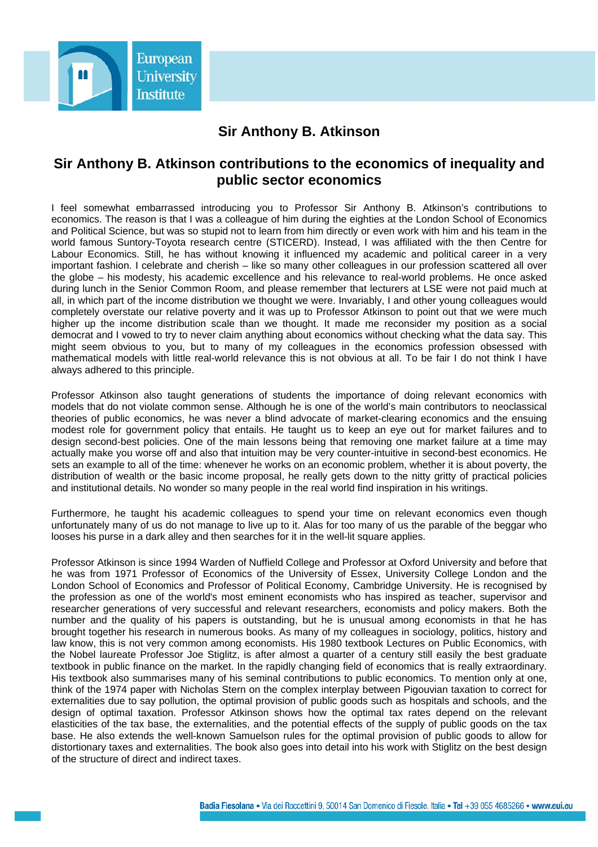

## **Sir Anthony B. Atkinson**

## **Sir Anthony B. Atkinson contributions to the economics of inequality and public sector economics**

I feel somewhat embarrassed introducing you to Professor Sir Anthony B. Atkinson's contributions to economics. The reason is that I was a colleague of him during the eighties at the London School of Economics and Political Science, but was so stupid not to learn from him directly or even work with him and his team in the world famous Suntory-Toyota research centre (STICERD). Instead, I was affiliated with the then Centre for Labour Economics. Still, he has without knowing it influenced my academic and political career in a very important fashion. I celebrate and cherish – like so many other colleagues in our profession scattered all over the globe – his modesty, his academic excellence and his relevance to real-world problems. He once asked during lunch in the Senior Common Room, and please remember that lecturers at LSE were not paid much at all, in which part of the income distribution we thought we were. Invariably, I and other young colleagues would completely overstate our relative poverty and it was up to Professor Atkinson to point out that we were much higher up the income distribution scale than we thought. It made me reconsider my position as a social democrat and I vowed to try to never claim anything about economics without checking what the data say. This might seem obvious to you, but to many of my colleagues in the economics profession obsessed with mathematical models with little real-world relevance this is not obvious at all. To be fair I do not think I have always adhered to this principle.

Professor Atkinson also taught generations of students the importance of doing relevant economics with models that do not violate common sense. Although he is one of the world's main contributors to neoclassical theories of public economics, he was never a blind advocate of market-clearing economics and the ensuing modest role for government policy that entails. He taught us to keep an eye out for market failures and to design second-best policies. One of the main lessons being that removing one market failure at a time may actually make you worse off and also that intuition may be very counter-intuitive in second-best economics. He sets an example to all of the time: whenever he works on an economic problem, whether it is about poverty, the distribution of wealth or the basic income proposal, he really gets down to the nitty gritty of practical policies and institutional details. No wonder so many people in the real world find inspiration in his writings.

Furthermore, he taught his academic colleagues to spend your time on relevant economics even though unfortunately many of us do not manage to live up to it. Alas for too many of us the parable of the beggar who looses his purse in a dark alley and then searches for it in the well-lit square applies.

Professor Atkinson is since 1994 Warden of Nuffield College and Professor at Oxford University and before that he was from 1971 Professor of Economics of the University of Essex, University College London and the London School of Economics and Professor of Political Economy, Cambridge University. He is recognised by the profession as one of the world's most eminent economists who has inspired as teacher, supervisor and researcher generations of very successful and relevant researchers, economists and policy makers. Both the number and the quality of his papers is outstanding, but he is unusual among economists in that he has brought together his research in numerous books. As many of my colleagues in sociology, politics, history and law know, this is not very common among economists. His 1980 textbook Lectures on Public Economics, with the Nobel laureate Professor Joe Stiglitz, is after almost a quarter of a century still easily the best graduate textbook in public finance on the market. In the rapidly changing field of economics that is really extraordinary. His textbook also summarises many of his seminal contributions to public economics. To mention only at one, think of the 1974 paper with Nicholas Stern on the complex interplay between Pigouvian taxation to correct for externalities due to say pollution, the optimal provision of public goods such as hospitals and schools, and the design of optimal taxation. Professor Atkinson shows how the optimal tax rates depend on the relevant elasticities of the tax base, the externalities, and the potential effects of the supply of public goods on the tax base. He also extends the well-known Samuelson rules for the optimal provision of public goods to allow for distortionary taxes and externalities. The book also goes into detail into his work with Stiglitz on the best design of the structure of direct and indirect taxes.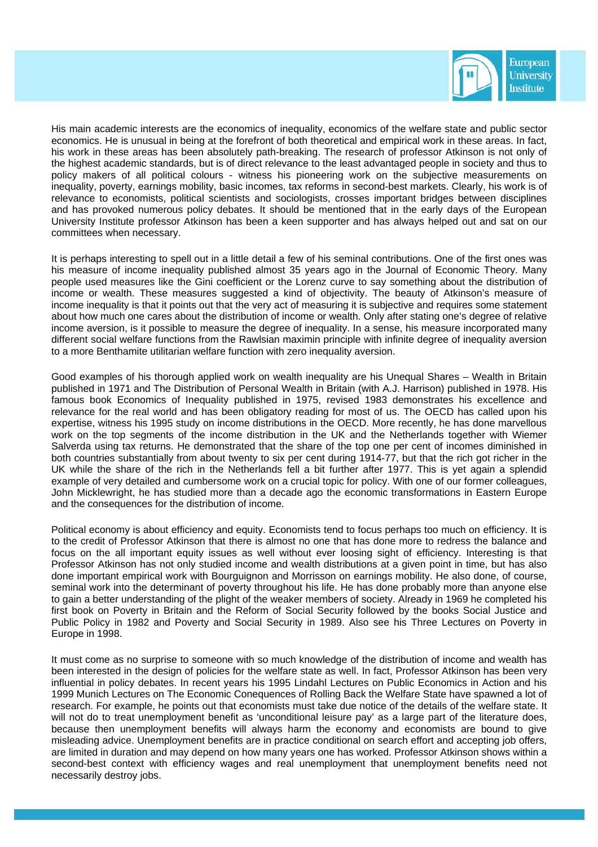

His main academic interests are the economics of inequality, economics of the welfare state and public sector economics. He is unusual in being at the forefront of both theoretical and empirical work in these areas. In fact, his work in these areas has been absolutely path-breaking. The research of professor Atkinson is not only of the highest academic standards, but is of direct relevance to the least advantaged people in society and thus to policy makers of all political colours - witness his pioneering work on the subjective measurements on inequality, poverty, earnings mobility, basic incomes, tax reforms in second-best markets. Clearly, his work is of relevance to economists, political scientists and sociologists, crosses important bridges between disciplines and has provoked numerous policy debates. It should be mentioned that in the early days of the European University Institute professor Atkinson has been a keen supporter and has always helped out and sat on our committees when necessary.

It is perhaps interesting to spell out in a little detail a few of his seminal contributions. One of the first ones was his measure of income inequality published almost 35 years ago in the Journal of Economic Theory. Many people used measures like the Gini coefficient or the Lorenz curve to say something about the distribution of income or wealth. These measures suggested a kind of objectivity. The beauty of Atkinson's measure of income inequality is that it points out that the very act of measuring it is subjective and requires some statement about how much one cares about the distribution of income or wealth. Only after stating one's degree of relative income aversion, is it possible to measure the degree of inequality. In a sense, his measure incorporated many different social welfare functions from the Rawlsian maximin principle with infinite degree of inequality aversion to a more Benthamite utilitarian welfare function with zero inequality aversion.

Good examples of his thorough applied work on wealth inequality are his Unequal Shares – Wealth in Britain published in 1971 and The Distribution of Personal Wealth in Britain (with A.J. Harrison) published in 1978. His famous book Economics of Inequality published in 1975, revised 1983 demonstrates his excellence and relevance for the real world and has been obligatory reading for most of us. The OECD has called upon his expertise, witness his 1995 study on income distributions in the OECD. More recently, he has done marvellous work on the top segments of the income distribution in the UK and the Netherlands together with Wiemer Salverda using tax returns. He demonstrated that the share of the top one per cent of incomes diminished in both countries substantially from about twenty to six per cent during 1914-77, but that the rich got richer in the UK while the share of the rich in the Netherlands fell a bit further after 1977. This is yet again a splendid example of very detailed and cumbersome work on a crucial topic for policy. With one of our former colleagues, John Micklewright, he has studied more than a decade ago the economic transformations in Eastern Europe and the consequences for the distribution of income.

Political economy is about efficiency and equity. Economists tend to focus perhaps too much on efficiency. It is to the credit of Professor Atkinson that there is almost no one that has done more to redress the balance and focus on the all important equity issues as well without ever loosing sight of efficiency. Interesting is that Professor Atkinson has not only studied income and wealth distributions at a given point in time, but has also done important empirical work with Bourguignon and Morrisson on earnings mobility. He also done, of course, seminal work into the determinant of poverty throughout his life. He has done probably more than anyone else to gain a better understanding of the plight of the weaker members of society. Already in 1969 he completed his first book on Poverty in Britain and the Reform of Social Security followed by the books Social Justice and Public Policy in 1982 and Poverty and Social Security in 1989. Also see his Three Lectures on Poverty in Europe in 1998.

It must come as no surprise to someone with so much knowledge of the distribution of income and wealth has been interested in the design of policies for the welfare state as well. In fact, Professor Atkinson has been very influential in policy debates. In recent years his 1995 Lindahl Lectures on Public Economics in Action and his 1999 Munich Lectures on The Economic Conequences of Rolling Back the Welfare State have spawned a lot of research. For example, he points out that economists must take due notice of the details of the welfare state. It will not do to treat unemployment benefit as 'unconditional leisure pay' as a large part of the literature does, because then unemployment benefits will always harm the economy and economists are bound to give misleading advice. Unemployment benefits are in practice conditional on search effort and accepting job offers, are limited in duration and may depend on how many years one has worked. Professor Atkinson shows within a second-best context with efficiency wages and real unemployment that unemployment benefits need not necessarily destroy jobs.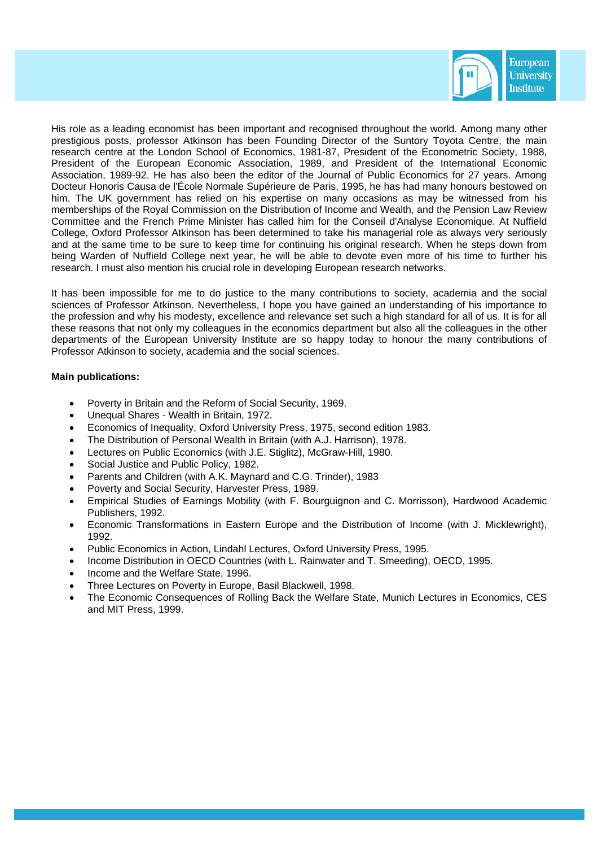

His role as a leading economist has been important and recognised throughout the world. Among many other prestigious posts, professor Atkinson has been Founding Director of the Suntory Toyota Centre, the main research centre at the London School of Economics, 1981-87, President of the Econometric Society, 1988, President of the European Economic Association, 1989, and President of the International Economic Association, 1989-92. He has also been the editor of the Journal of Public Economics for 27 years. Among Docteur Honoris Causa de l'École Normale Supérieure de Paris, 1995, he has had many honours bestowed on him. The UK government has relied on his expertise on many occasions as may be witnessed from his memberships of the Royal Commission on the Distribution of Income and Wealth, and the Pension Law Review Committee and the French Prime Minister has called him for the Conseil d'Analyse Economique. At Nuffield College, Oxford Professor Atkinson has been determined to take his managerial role as always very seriously and at the same time to be sure to keep time for continuing his original research. When he steps down from being Warden of Nuffield College next year, he will be able to devote even more of his time to further his research. I must also mention his crucial role in developing European research networks.

It has been impossible for me to do justice to the many contributions to society, academia and the social sciences of Professor Atkinson. Nevertheless, I hope you have gained an understanding of his importance to the profession and why his modesty, excellence and relevance set such a high standard for all of us. It is for all these reasons that not only my colleagues in the economics department but also all the colleagues in the other departments of the European University Institute are so happy today to honour the many contributions of Professor Atkinson to society, academia and the social sciences.

## **Main publications:**

- Poverty in Britain and the Reform of Social Security, 1969.
- Unequal Shares Wealth in Britain, 1972.
- Economics of Inequality, Oxford University Press, 1975, second edition 1983.
- The Distribution of Personal Wealth in Britain (with A.J. Harrison), 1978.
- Lectures on Public Economics (with J.E. Stiglitz), McGraw-Hill, 1980.
- Social Justice and Public Policy, 1982.
- Parents and Children (with A.K. Maynard and C.G. Trinder), 1983
- Poverty and Social Security, Harvester Press, 1989.
- Empirical Studies of Earnings Mobility (with F. Bourguignon and C. Morrisson), Hardwood Academic Publishers, 1992.
- Economic Transformations in Eastern Europe and the Distribution of Income (with J. Micklewright), 1992.
- Public Economics in Action, Lindahl Lectures, Oxford University Press, 1995.
- Income Distribution in OECD Countries (with L. Rainwater and T. Smeeding), OECD, 1995.
- Income and the Welfare State, 1996.
- Three Lectures on Poverty in Europe, Basil Blackwell, 1998.
- The Economic Consequences of Rolling Back the Welfare State, Munich Lectures in Economics, CES and MIT Press, 1999.